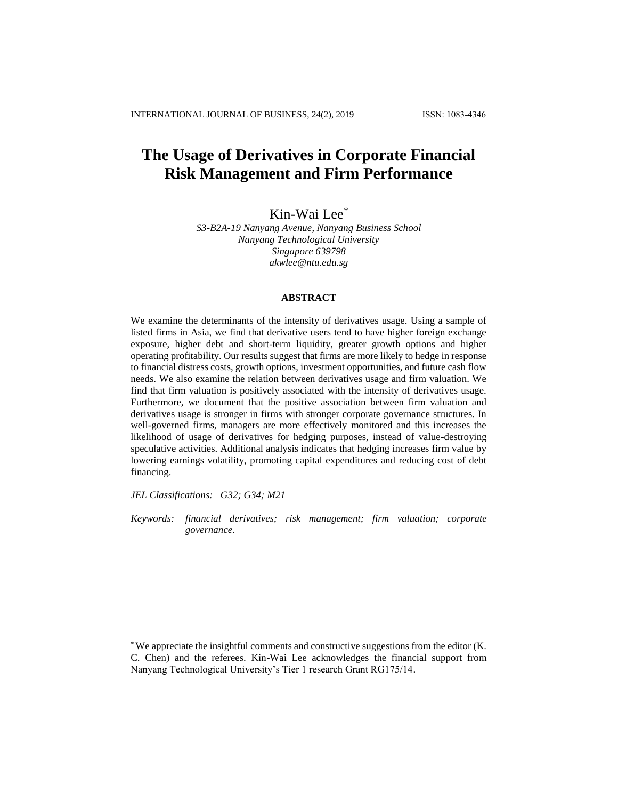# **The Usage of Derivatives in Corporate Financial Risk Management and Firm Performance**

Kin-Wai Lee\*

*S3-B2A-19 Nanyang Avenue, Nanyang Business School Nanyang Technological University Singapore 639798 [akwlee@ntu.edu.sg](https://webmail2007.ntu.edu.sg/owa/redir.aspx?C=jSH7TgMiWECrjEBxUIs_ESDmxP4dO9BIAEglnb4DmS-wpxMwLo-3EVHPsxG3cxAnKjz2zal2q5U.&URL=mailto%3aakwlee%40ntu.edu.sg)*

## **ABSTRACT**

We examine the determinants of the intensity of derivatives usage. Using a sample of listed firms in Asia, we find that derivative users tend to have higher foreign exchange exposure, higher debt and short-term liquidity, greater growth options and higher operating profitability. Our results suggest that firms are more likely to hedge in response to financial distress costs, growth options, investment opportunities, and future cash flow needs. We also examine the relation between derivatives usage and firm valuation. We find that firm valuation is positively associated with the intensity of derivatives usage. Furthermore, we document that the positive association between firm valuation and derivatives usage is stronger in firms with stronger corporate governance structures. In well-governed firms, managers are more effectively monitored and this increases the likelihood of usage of derivatives for hedging purposes, instead of value-destroying speculative activities. Additional analysis indicates that hedging increases firm value by lowering earnings volatility, promoting capital expenditures and reducing cost of debt financing.

*JEL Classifications: G32; G34; M21*

*Keywords: financial derivatives; risk management; firm valuation; corporate governance.*

\* We appreciate the insightful comments and constructive suggestions from the editor (K. C. Chen) and the referees. Kin-Wai Lee acknowledges the financial support from Nanyang Technological University's Tier 1 research Grant RG175/14.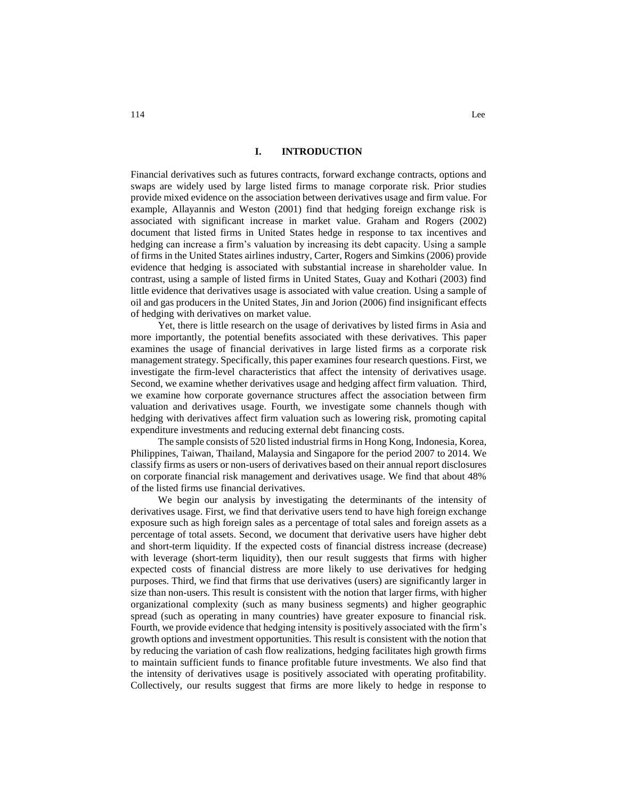## **I. INTRODUCTION**

Financial derivatives such as futures contracts, forward exchange contracts, options and swaps are widely used by large listed firms to manage corporate risk. Prior studies provide mixed evidence on the association between derivatives usage and firm value. For example, Allayannis and Weston (2001) find that hedging foreign exchange risk is associated with significant increase in market value. Graham and Rogers (2002) document that listed firms in United States hedge in response to tax incentives and hedging can increase a firm's valuation by increasing its debt capacity. Using a sample of firms in the United States airlines industry, Carter, Rogers and Simkins (2006) provide evidence that hedging is associated with substantial increase in shareholder value. In contrast, using a sample of listed firms in United States, Guay and Kothari (2003) find little evidence that derivatives usage is associated with value creation. Using a sample of oil and gas producers in the United States, Jin and Jorion (2006) find insignificant effects of hedging with derivatives on market value.

Yet, there is little research on the usage of derivatives by listed firms in Asia and more importantly, the potential benefits associated with these derivatives. This paper examines the usage of financial derivatives in large listed firms as a corporate risk management strategy. Specifically, this paper examines four research questions. First, we investigate the firm-level characteristics that affect the intensity of derivatives usage. Second, we examine whether derivatives usage and hedging affect firm valuation. Third, we examine how corporate governance structures affect the association between firm valuation and derivatives usage. Fourth, we investigate some channels though with hedging with derivatives affect firm valuation such as lowering risk, promoting capital expenditure investments and reducing external debt financing costs.

The sample consists of 520 listed industrial firms in Hong Kong, Indonesia, Korea, Philippines, Taiwan, Thailand, Malaysia and Singapore for the period 2007 to 2014. We classify firms as users or non-users of derivatives based on their annual report disclosures on corporate financial risk management and derivatives usage. We find that about 48% of the listed firms use financial derivatives.

We begin our analysis by investigating the determinants of the intensity of derivatives usage. First, we find that derivative users tend to have high foreign exchange exposure such as high foreign sales as a percentage of total sales and foreign assets as a percentage of total assets. Second, we document that derivative users have higher debt and short-term liquidity. If the expected costs of financial distress increase (decrease) with leverage (short-term liquidity), then our result suggests that firms with higher expected costs of financial distress are more likely to use derivatives for hedging purposes. Third, we find that firms that use derivatives (users) are significantly larger in size than non-users. This result is consistent with the notion that larger firms, with higher organizational complexity (such as many business segments) and higher geographic spread (such as operating in many countries) have greater exposure to financial risk. Fourth, we provide evidence that hedging intensity is positively associated with the firm's growth options and investment opportunities. This result is consistent with the notion that by reducing the variation of cash flow realizations, hedging facilitates high growth firms to maintain sufficient funds to finance profitable future investments. We also find that the intensity of derivatives usage is positively associated with operating profitability. Collectively, our results suggest that firms are more likely to hedge in response to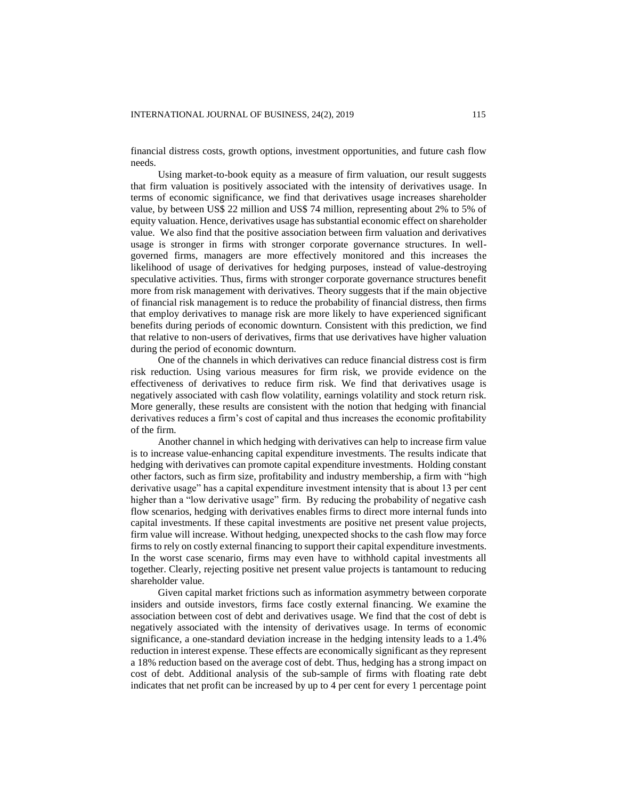financial distress costs, growth options, investment opportunities, and future cash flow needs.

Using market-to-book equity as a measure of firm valuation, our result suggests that firm valuation is positively associated with the intensity of derivatives usage. In terms of economic significance, we find that derivatives usage increases shareholder value, by between US\$ 22 million and US\$ 74 million, representing about 2% to 5% of equity valuation. Hence, derivatives usage has substantial economic effect on shareholder value. We also find that the positive association between firm valuation and derivatives usage is stronger in firms with stronger corporate governance structures. In wellgoverned firms, managers are more effectively monitored and this increases the likelihood of usage of derivatives for hedging purposes, instead of value-destroying speculative activities. Thus, firms with stronger corporate governance structures benefit more from risk management with derivatives. Theory suggests that if the main objective of financial risk management is to reduce the probability of financial distress, then firms that employ derivatives to manage risk are more likely to have experienced significant benefits during periods of economic downturn. Consistent with this prediction, we find that relative to non-users of derivatives, firms that use derivatives have higher valuation during the period of economic downturn.

One of the channels in which derivatives can reduce financial distress cost is firm risk reduction. Using various measures for firm risk, we provide evidence on the effectiveness of derivatives to reduce firm risk. We find that derivatives usage is negatively associated with cash flow volatility, earnings volatility and stock return risk. More generally, these results are consistent with the notion that hedging with financial derivatives reduces a firm's cost of capital and thus increases the economic profitability of the firm.

Another channel in which hedging with derivatives can help to increase firm value is to increase value-enhancing capital expenditure investments. The results indicate that hedging with derivatives can promote capital expenditure investments. Holding constant other factors, such as firm size, profitability and industry membership, a firm with "high derivative usage" has a capital expenditure investment intensity that is about 13 per cent higher than a "low derivative usage" firm. By reducing the probability of negative cash flow scenarios, hedging with derivatives enables firms to direct more internal funds into capital investments. If these capital investments are positive net present value projects, firm value will increase. Without hedging, unexpected shocks to the cash flow may force firms to rely on costly external financing to support their capital expenditure investments. In the worst case scenario, firms may even have to withhold capital investments all together. Clearly, rejecting positive net present value projects is tantamount to reducing shareholder value.

Given capital market frictions such as information asymmetry between corporate insiders and outside investors, firms face costly external financing. We examine the association between cost of debt and derivatives usage. We find that the cost of debt is negatively associated with the intensity of derivatives usage. In terms of economic significance, a one-standard deviation increase in the hedging intensity leads to a 1.4% reduction in interest expense. These effects are economically significant as they represent a 18% reduction based on the average cost of debt. Thus, hedging has a strong impact on cost of debt. Additional analysis of the sub-sample of firms with floating rate debt indicates that net profit can be increased by up to 4 per cent for every 1 percentage point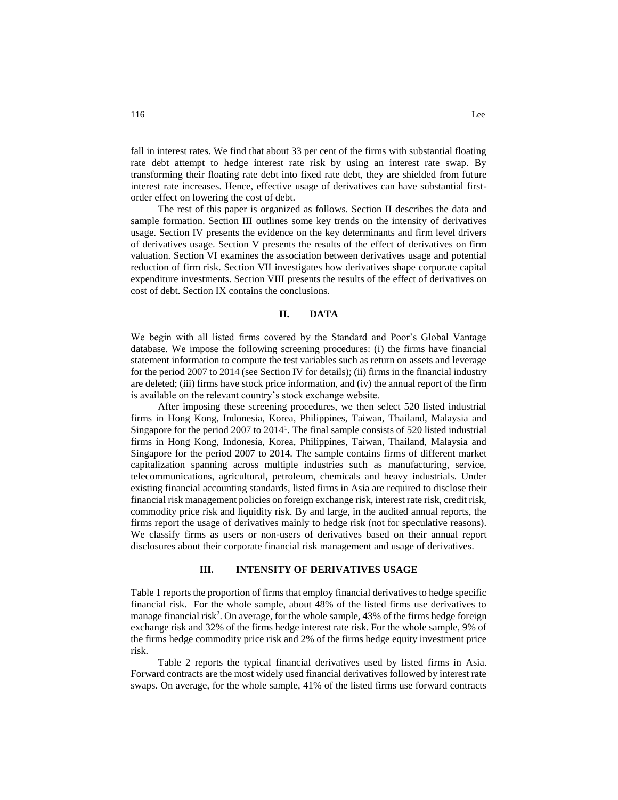fall in interest rates. We find that about 33 per cent of the firms with substantial floating rate debt attempt to hedge interest rate risk by using an interest rate swap. By transforming their floating rate debt into fixed rate debt, they are shielded from future interest rate increases. Hence, effective usage of derivatives can have substantial firstorder effect on lowering the cost of debt.

The rest of this paper is organized as follows. Section II describes the data and sample formation. Section III outlines some key trends on the intensity of derivatives usage. Section IV presents the evidence on the key determinants and firm level drivers of derivatives usage. Section V presents the results of the effect of derivatives on firm valuation. Section VI examines the association between derivatives usage and potential reduction of firm risk. Section VII investigates how derivatives shape corporate capital expenditure investments. Section VIII presents the results of the effect of derivatives on cost of debt. Section IX contains the conclusions.

## **II. DATA**

We begin with all listed firms covered by the Standard and Poor's Global Vantage database. We impose the following screening procedures: (i) the firms have financial statement information to compute the test variables such as return on assets and leverage for the period 2007 to 2014 (see Section IV for details); (ii) firms in the financial industry are deleted; (iii) firms have stock price information, and (iv) the annual report of the firm is available on the relevant country's stock exchange website.

After imposing these screening procedures, we then select 520 listed industrial firms in Hong Kong, Indonesia, Korea, Philippines, Taiwan, Thailand, Malaysia and Singapore for the period 2007 to 2014<sup>1</sup>. The final sample consists of 520 listed industrial firms in Hong Kong, Indonesia, Korea, Philippines, Taiwan, Thailand, Malaysia and Singapore for the period 2007 to 2014. The sample contains firms of different market capitalization spanning across multiple industries such as manufacturing, service, telecommunications, agricultural, petroleum, chemicals and heavy industrials. Under existing financial accounting standards, listed firms in Asia are required to disclose their financial risk management policies on foreign exchange risk, interest rate risk, credit risk, commodity price risk and liquidity risk. By and large, in the audited annual reports, the firms report the usage of derivatives mainly to hedge risk (not for speculative reasons). We classify firms as users or non-users of derivatives based on their annual report disclosures about their corporate financial risk management and usage of derivatives.

## **III. INTENSITY OF DERIVATIVES USAGE**

Table 1 reports the proportion of firms that employ financial derivatives to hedge specific financial risk. For the whole sample, about 48% of the listed firms use derivatives to manage financial risk<sup>2</sup>. On average, for the whole sample, 43% of the firms hedge foreign exchange risk and 32% of the firms hedge interest rate risk. For the whole sample, 9% of the firms hedge commodity price risk and 2% of the firms hedge equity investment price risk.

Table 2 reports the typical financial derivatives used by listed firms in Asia. Forward contracts are the most widely used financial derivatives followed by interest rate swaps. On average, for the whole sample, 41% of the listed firms use forward contracts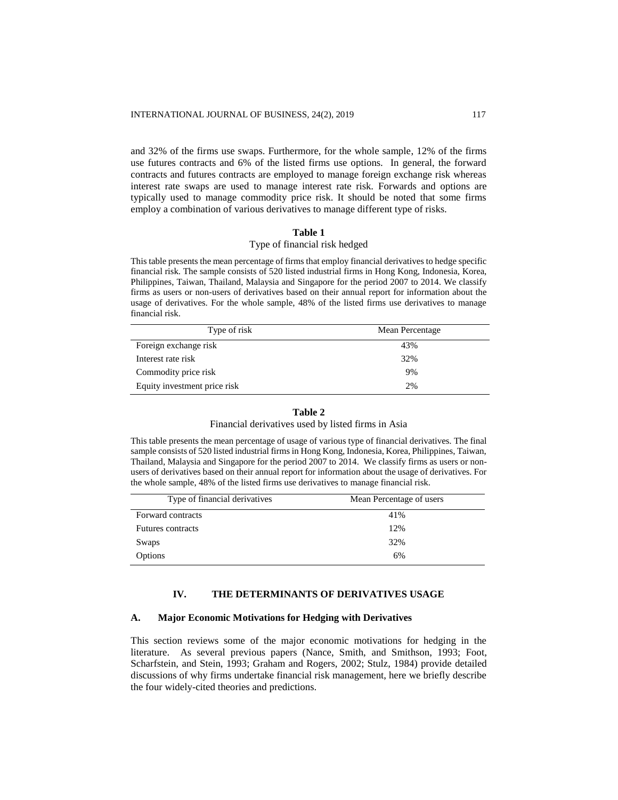and 32% of the firms use swaps. Furthermore, for the whole sample, 12% of the firms use futures contracts and 6% of the listed firms use options. In general, the forward contracts and futures contracts are employed to manage foreign exchange risk whereas interest rate swaps are used to manage interest rate risk. Forwards and options are typically used to manage commodity price risk. It should be noted that some firms employ a combination of various derivatives to manage different type of risks.

## **Table 1**

# Type of financial risk hedged

This table presents the mean percentage of firms that employ financial derivatives to hedge specific financial risk. The sample consists of 520 listed industrial firms in Hong Kong, Indonesia, Korea, Philippines, Taiwan, Thailand, Malaysia and Singapore for the period 2007 to 2014. We classify firms as users or non-users of derivatives based on their annual report for information about the usage of derivatives. For the whole sample, 48% of the listed firms use derivatives to manage financial risk.

| Type of risk                 | Mean Percentage |
|------------------------------|-----------------|
| Foreign exchange risk        | 43%             |
| Interest rate risk           | 32%             |
| Commodity price risk         | 9%              |
| Equity investment price risk | 2%              |

## **Table 2** Financial derivatives used by listed firms in Asia

This table presents the mean percentage of usage of various type of financial derivatives. The final sample consists of 520 listed industrial firms in Hong Kong, Indonesia, Korea, Philippines, Taiwan, Thailand, Malaysia and Singapore for the period 2007 to 2014. We classify firms as users or nonusers of derivatives based on their annual report for information about the usage of derivatives. For the whole sample, 48% of the listed firms use derivatives to manage financial risk.

| Type of financial derivatives | Mean Percentage of users |
|-------------------------------|--------------------------|
| Forward contracts             | 41%                      |
| <b>Futures contracts</b>      | 12%                      |
| Swaps                         | 32%                      |
| Options                       | 6%                       |

# **IV. THE DETERMINANTS OF DERIVATIVES USAGE**

## **A. Major Economic Motivations for Hedging with Derivatives**

This section reviews some of the major economic motivations for hedging in the literature. As several previous papers (Nance, Smith, and Smithson, 1993; Foot, Scharfstein, and Stein, 1993; Graham and Rogers, 2002; Stulz, 1984) provide detailed discussions of why firms undertake financial risk management, here we briefly describe the four widely-cited theories and predictions.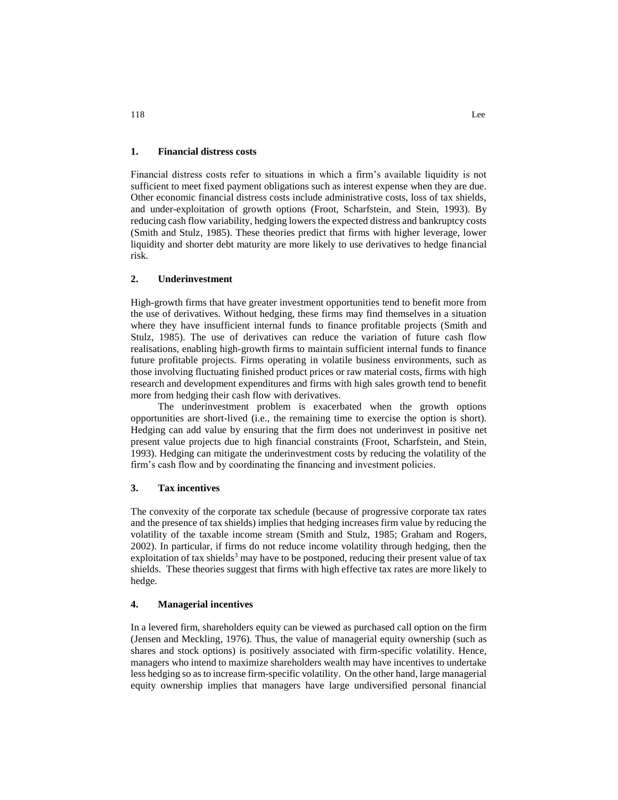## **1. Financial distress costs**

Financial distress costs refer to situations in which a firm's available liquidity is not sufficient to meet fixed payment obligations such as interest expense when they are due. Other economic financial distress costs include administrative costs, loss of tax shields, and under-exploitation of growth options (Froot, Scharfstein, and Stein, 1993). By reducing cash flow variability, hedging lowers the expected distress and bankruptcy costs (Smith and Stulz, 1985). These theories predict that firms with higher leverage, lower liquidity and shorter debt maturity are more likely to use derivatives to hedge financial risk.

## **2. Underinvestment**

High-growth firms that have greater investment opportunities tend to benefit more from the use of derivatives. Without hedging, these firms may find themselves in a situation where they have insufficient internal funds to finance profitable projects (Smith and Stulz, 1985). The use of derivatives can reduce the variation of future cash flow realisations, enabling high-growth firms to maintain sufficient internal funds to finance future profitable projects. Firms operating in volatile business environments, such as those involving fluctuating finished product prices or raw material costs, firms with high research and development expenditures and firms with high sales growth tend to benefit more from hedging their cash flow with derivatives.

The underinvestment problem is exacerbated when the growth options opportunities are short-lived (i.e., the remaining time to exercise the option is short). Hedging can add value by ensuring that the firm does not underinvest in positive net present value projects due to high financial constraints (Froot, Scharfstein, and Stein, 1993). Hedging can mitigate the underinvestment costs by reducing the volatility of the firm's cash flow and by coordinating the financing and investment policies.

## **3. Tax incentives**

The convexity of the corporate tax schedule (because of progressive corporate tax rates and the presence of tax shields) implies that hedging increases firm value by reducing the volatility of the taxable income stream (Smith and Stulz, 1985; Graham and Rogers, 2002). In particular, if firms do not reduce income volatility through hedging, then the exploitation of tax shields<sup>3</sup> may have to be postponed, reducing their present value of tax shields. These theories suggest that firms with high effective tax rates are more likely to hedge.

## **4. Managerial incentives**

In a levered firm, shareholders equity can be viewed as purchased call option on the firm (Jensen and Meckling, 1976). Thus, the value of managerial equity ownership (such as shares and stock options) is positively associated with firm-specific volatility. Hence, managers who intend to maximize shareholders wealth may have incentives to undertake less hedging so as to increase firm-specific volatility. On the other hand, large managerial equity ownership implies that managers have large undiversified personal financial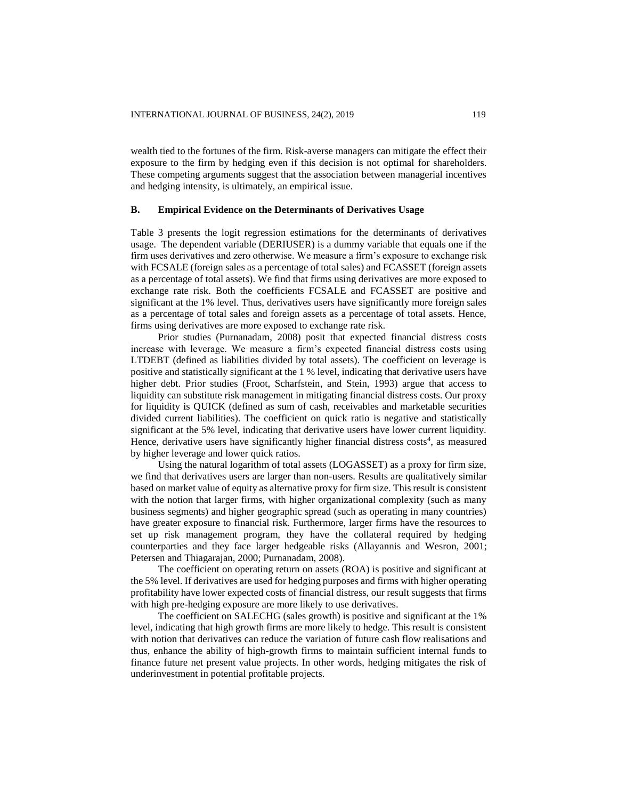wealth tied to the fortunes of the firm. Risk-averse managers can mitigate the effect their exposure to the firm by hedging even if this decision is not optimal for shareholders. These competing arguments suggest that the association between managerial incentives and hedging intensity, is ultimately, an empirical issue.

#### **B. Empirical Evidence on the Determinants of Derivatives Usage**

Table 3 presents the logit regression estimations for the determinants of derivatives usage. The dependent variable (DERIUSER) is a dummy variable that equals one if the firm uses derivatives and zero otherwise. We measure a firm's exposure to exchange risk with FCSALE (foreign sales as a percentage of total sales) and FCASSET (foreign assets as a percentage of total assets). We find that firms using derivatives are more exposed to exchange rate risk. Both the coefficients FCSALE and FCASSET are positive and significant at the 1% level. Thus, derivatives users have significantly more foreign sales as a percentage of total sales and foreign assets as a percentage of total assets. Hence, firms using derivatives are more exposed to exchange rate risk.

Prior studies (Purnanadam, 2008) posit that expected financial distress costs increase with leverage. We measure a firm's expected financial distress costs using LTDEBT (defined as liabilities divided by total assets). The coefficient on leverage is positive and statistically significant at the 1 % level, indicating that derivative users have higher debt. Prior studies (Froot, Scharfstein, and Stein, 1993) argue that access to liquidity can substitute risk management in mitigating financial distress costs. Our proxy for liquidity is QUICK (defined as sum of cash, receivables and marketable securities divided current liabilities). The coefficient on quick ratio is negative and statistically significant at the 5% level, indicating that derivative users have lower current liquidity. Hence, derivative users have significantly higher financial distress costs<sup>4</sup>, as measured by higher leverage and lower quick ratios.

Using the natural logarithm of total assets (LOGASSET) as a proxy for firm size, we find that derivatives users are larger than non-users. Results are qualitatively similar based on market value of equity as alternative proxy for firm size. This result is consistent with the notion that larger firms, with higher organizational complexity (such as many business segments) and higher geographic spread (such as operating in many countries) have greater exposure to financial risk. Furthermore, larger firms have the resources to set up risk management program, they have the collateral required by hedging counterparties and they face larger hedgeable risks (Allayannis and Wesron, 2001; Petersen and Thiagarajan, 2000; Purnanadam, 2008).

The coefficient on operating return on assets (ROA) is positive and significant at the 5% level. If derivatives are used for hedging purposes and firms with higher operating profitability have lower expected costs of financial distress, our result suggests that firms with high pre-hedging exposure are more likely to use derivatives.

The coefficient on SALECHG (sales growth) is positive and significant at the 1% level, indicating that high growth firms are more likely to hedge. This result is consistent with notion that derivatives can reduce the variation of future cash flow realisations and thus, enhance the ability of high-growth firms to maintain sufficient internal funds to finance future net present value projects. In other words, hedging mitigates the risk of underinvestment in potential profitable projects.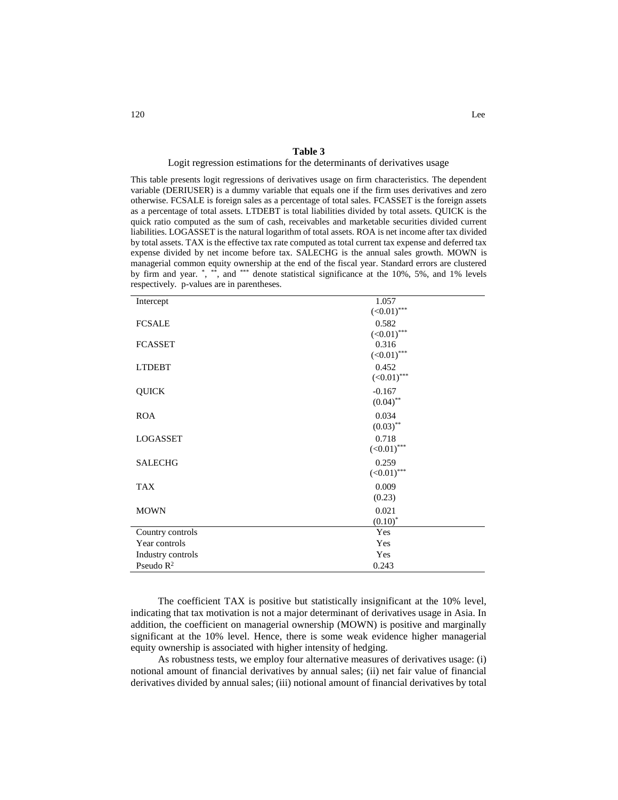#### **Table 3**

#### Logit regression estimations for the determinants of derivatives usage

This table presents logit regressions of derivatives usage on firm characteristics. The dependent variable (DERIUSER) is a dummy variable that equals one if the firm uses derivatives and zero otherwise. FCSALE is foreign sales as a percentage of total sales. FCASSET is the foreign assets as a percentage of total assets. LTDEBT is total liabilities divided by total assets. QUICK is the quick ratio computed as the sum of cash, receivables and marketable securities divided current liabilities. LOGASSET is the natural logarithm of total assets. ROA is net income after tax divided by total assets. TAX is the effective tax rate computed as total current tax expense and deferred tax expense divided by net income before tax. SALECHG is the annual sales growth. MOWN is managerial common equity ownership at the end of the fiscal year. Standard errors are clustered by firm and year.  $\overset{*}{\cdot}$ ,  $\overset{***}{\cdot}$  and  $\overset{***}{\cdot}$  denote statistical significance at the 10%, 5%, and 1% levels respectively. p-values are in parentheses.

| Intercept         | 1.057            |
|-------------------|------------------|
|                   | $(<0.01)$ ***    |
| <b>FCSALE</b>     | 0.582            |
|                   | $(<0.01)$ ***    |
| <b>FCASSET</b>    | 0.316            |
|                   | $(\le 0.01)$ *** |
| <b>LTDEBT</b>     | 0.452            |
|                   | $(<0.01)$ ***    |
| <b>QUICK</b>      | $-0.167$         |
|                   | $(0.04)$ **      |
| <b>ROA</b>        | 0.034            |
|                   | $(0.03)$ **      |
| <b>LOGASSET</b>   | 0.718            |
|                   | $(<0.01)$ ***    |
| <b>SALECHG</b>    | 0.259            |
|                   | $(<0.01)$ ***    |
| <b>TAX</b>        | 0.009            |
|                   | (0.23)           |
| <b>MOWN</b>       | 0.021            |
|                   | $(0.10)^*$       |
| Country controls  | Yes              |
| Year controls     | Yes              |
| Industry controls | Yes              |
| Pseudo $R^2$      | 0.243            |

The coefficient TAX is positive but statistically insignificant at the 10% level, indicating that tax motivation is not a major determinant of derivatives usage in Asia. In addition, the coefficient on managerial ownership (MOWN) is positive and marginally significant at the 10% level. Hence, there is some weak evidence higher managerial equity ownership is associated with higher intensity of hedging.

As robustness tests, we employ four alternative measures of derivatives usage: (i) notional amount of financial derivatives by annual sales; (ii) net fair value of financial derivatives divided by annual sales; (iii) notional amount of financial derivatives by total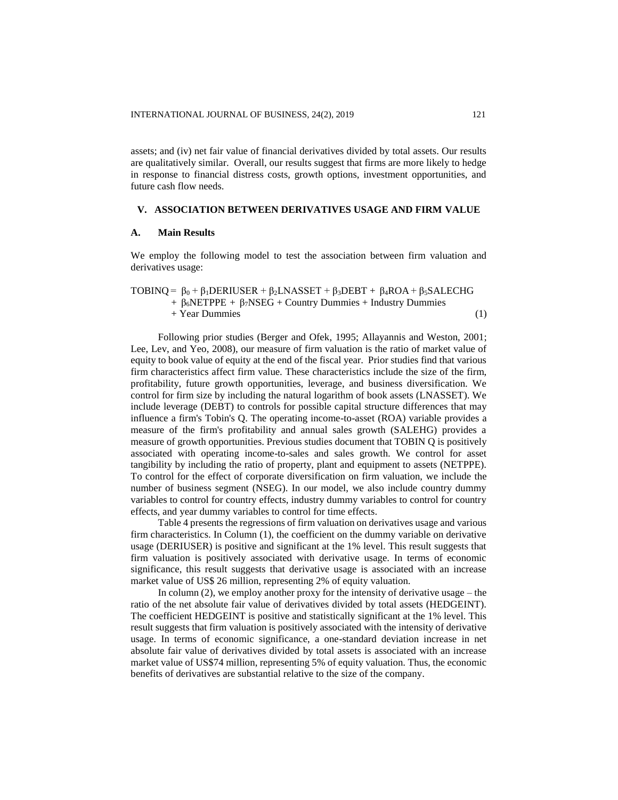assets; and (iv) net fair value of financial derivatives divided by total assets. Our results are qualitatively similar. Overall, our results suggest that firms are more likely to hedge in response to financial distress costs, growth options, investment opportunities, and future cash flow needs.

#### **V. ASSOCIATION BETWEEN DERIVATIVES USAGE AND FIRM VALUE**

#### **A. Main Results**

We employ the following model to test the association between firm valuation and derivatives usage:

TOBINQ =  $\beta_0 + \beta_1$ DERIUSER +  $\beta_2$ LNASSET +  $\beta_3$ DEBT +  $\beta_4$ ROA +  $\beta_5$ SALECHG +  $\beta_6$ NETPPE +  $\beta_7$ NSEG + Country Dummies + Industry Dummies + Year Dummies (1)

Following prior studies (Berger and Ofek, 1995; Allayannis and Weston, 2001; Lee, Lev, and Yeo, 2008), our measure of firm valuation is the ratio of market value of equity to book value of equity at the end of the fiscal year. Prior studies find that various firm characteristics affect firm value. These characteristics include the size of the firm, profitability, future growth opportunities, leverage, and business diversification. We control for firm size by including the natural logarithm of book assets (LNASSET). We include leverage (DEBT) to controls for possible capital structure differences that may influence a firm's Tobin's Q. The operating income-to-asset (ROA) variable provides a measure of the firm's profitability and annual sales growth (SALEHG) provides a measure of growth opportunities. Previous studies document that TOBIN Q is positively associated with operating income-to-sales and sales growth. We control for asset tangibility by including the ratio of property, plant and equipment to assets (NETPPE). To control for the effect of corporate diversification on firm valuation, we include the number of business segment (NSEG). In our model, we also include country dummy variables to control for country effects, industry dummy variables to control for country effects, and year dummy variables to control for time effects.

Table 4 presents the regressions of firm valuation on derivatives usage and various firm characteristics. In Column (1), the coefficient on the dummy variable on derivative usage (DERIUSER) is positive and significant at the 1% level. This result suggests that firm valuation is positively associated with derivative usage. In terms of economic significance, this result suggests that derivative usage is associated with an increase market value of US\$ 26 million, representing 2% of equity valuation.

In column (2), we employ another proxy for the intensity of derivative usage – the ratio of the net absolute fair value of derivatives divided by total assets (HEDGEINT). The coefficient HEDGEINT is positive and statistically significant at the 1% level. This result suggests that firm valuation is positively associated with the intensity of derivative usage. In terms of economic significance, a one-standard deviation increase in net absolute fair value of derivatives divided by total assets is associated with an increase market value of US\$74 million, representing 5% of equity valuation. Thus, the economic benefits of derivatives are substantial relative to the size of the company.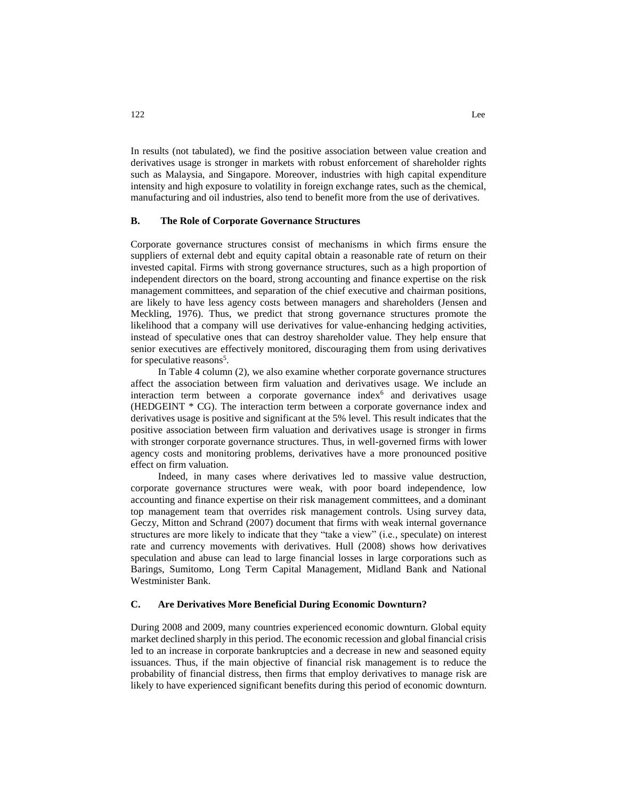In results (not tabulated), we find the positive association between value creation and derivatives usage is stronger in markets with robust enforcement of shareholder rights such as Malaysia, and Singapore. Moreover, industries with high capital expenditure intensity and high exposure to volatility in foreign exchange rates, such as the chemical, manufacturing and oil industries, also tend to benefit more from the use of derivatives.

#### **B. The Role of Corporate Governance Structures**

Corporate governance structures consist of mechanisms in which firms ensure the suppliers of external debt and equity capital obtain a reasonable rate of return on their invested capital. Firms with strong governance structures, such as a high proportion of independent directors on the board, strong accounting and finance expertise on the risk management committees, and separation of the chief executive and chairman positions, are likely to have less agency costs between managers and shareholders (Jensen and Meckling, 1976). Thus, we predict that strong governance structures promote the likelihood that a company will use derivatives for value-enhancing hedging activities, instead of speculative ones that can destroy shareholder value. They help ensure that senior executives are effectively monitored, discouraging them from using derivatives for speculative reasons<sup>5</sup>.

In Table 4 column (2), we also examine whether corporate governance structures affect the association between firm valuation and derivatives usage. We include an interaction term between a corporate governance index<sup>6</sup> and derivatives usage (HEDGEINT \* CG). The interaction term between a corporate governance index and derivatives usage is positive and significant at the 5% level. This result indicates that the positive association between firm valuation and derivatives usage is stronger in firms with stronger corporate governance structures. Thus, in well-governed firms with lower agency costs and monitoring problems, derivatives have a more pronounced positive effect on firm valuation.

Indeed, in many cases where derivatives led to massive value destruction, corporate governance structures were weak, with poor board independence, low accounting and finance expertise on their risk management committees, and a dominant top management team that overrides risk management controls. Using survey data, Geczy, Mitton and Schrand (2007) document that firms with weak internal governance structures are more likely to indicate that they "take a view" (i.e., speculate) on interest rate and currency movements with derivatives. Hull (2008) shows how derivatives speculation and abuse can lead to large financial losses in large corporations such as Barings, Sumitomo, Long Term Capital Management, Midland Bank and National Westminister Bank.

#### **C. Are Derivatives More Beneficial During Economic Downturn?**

During 2008 and 2009, many countries experienced economic downturn. Global equity market declined sharply in this period. The economic recession and global financial crisis led to an increase in corporate bankruptcies and a decrease in new and seasoned equity issuances. Thus, if the main objective of financial risk management is to reduce the probability of financial distress, then firms that employ derivatives to manage risk are likely to have experienced significant benefits during this period of economic downturn.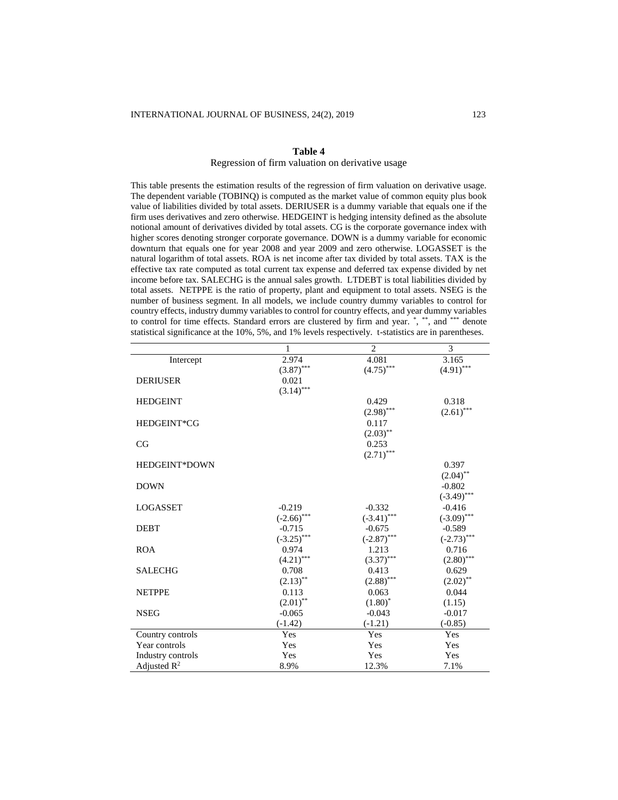#### **Table 4**

## Regression of firm valuation on derivative usage

This table presents the estimation results of the regression of firm valuation on derivative usage. The dependent variable (TOBINQ) is computed as the market value of common equity plus book value of liabilities divided by total assets. DERIUSER is a dummy variable that equals one if the firm uses derivatives and zero otherwise. HEDGEINT is hedging intensity defined as the absolute notional amount of derivatives divided by total assets. CG is the corporate governance index with higher scores denoting stronger corporate governance. DOWN is a dummy variable for economic downturn that equals one for year 2008 and year 2009 and zero otherwise. LOGASSET is the natural logarithm of total assets. ROA is net income after tax divided by total assets. TAX is the effective tax rate computed as total current tax expense and deferred tax expense divided by net income before tax. SALECHG is the annual sales growth. LTDEBT is total liabilities divided by total assets. NETPPE is the ratio of property, plant and equipment to total assets. NSEG is the number of business segment. In all models, we include country dummy variables to control for country effects, industry dummy variables to control for country effects, and year dummy variables to control for time effects. Standard errors are clustered by firm and year. \*, \*\*, and \*\*\* denote statistical significance at the 10%, 5%, and 1% levels respectively. t-statistics are in parentheses.

|                   | 1             | $\overline{2}$ | 3             |
|-------------------|---------------|----------------|---------------|
| Intercept         | 2.974         | 4.081          | 3.165         |
|                   | $(3.87)$ ***  | $(4.75)$ ***   | $(4.91)$ ***  |
| <b>DERIUSER</b>   | 0.021         |                |               |
|                   | $(3.14)$ ***  |                |               |
| <b>HEDGEINT</b>   |               | 0.429          | 0.318         |
|                   |               | $(2.98)$ ***   | $(2.61)$ ***  |
| HEDGEINT*CG       |               | 0.117          |               |
|                   |               | $(2.03)$ **    |               |
| CG                |               | 0.253          |               |
|                   |               | $(2.71)$ ***   |               |
| HEDGEINT*DOWN     |               |                | 0.397         |
|                   |               |                | $(2.04)$ **   |
| <b>DOWN</b>       |               |                | $-0.802$      |
|                   |               |                | $(-3.49)$ *** |
| LOGASSET          | $-0.219$      | $-0.332$       | $-0.416$      |
|                   | $(-2.66)$ *** | $(-3.41)$ ***  | $(-3.09)$ *** |
| <b>DEBT</b>       | $-0.715$      | $-0.675$       | $-0.589$      |
|                   | $(-3.25)$ *** | $(-2.87)$ ***  | $(-2.73)$ *** |
| <b>ROA</b>        | 0.974         | 1.213          | 0.716         |
|                   | $(4.21)$ ***  | $(3.37)$ ***   | $(2.80)$ ***  |
| <b>SALECHG</b>    | 0.708         | 0.413          | 0.629         |
|                   | $(2.13)$ **   | $(2.88)$ ***   | $(2.02)$ **   |
| <b>NETPPE</b>     | 0.113         | 0.063          | 0.044         |
|                   | $(2.01)$ **   | $(1.80)$ *     | (1.15)        |
| <b>NSEG</b>       | $-0.065$      | $-0.043$       | $-0.017$      |
|                   | $(-1.42)$     | $(-1.21)$      | $(-0.85)$     |
| Country controls  | Yes           | Yes            | Yes           |
| Year controls     | Yes           | Yes            | Yes           |
| Industry controls | Yes           | Yes            | Yes           |
| Adjusted $R^2$    | 8.9%          | 12.3%          | 7.1%          |
|                   |               |                |               |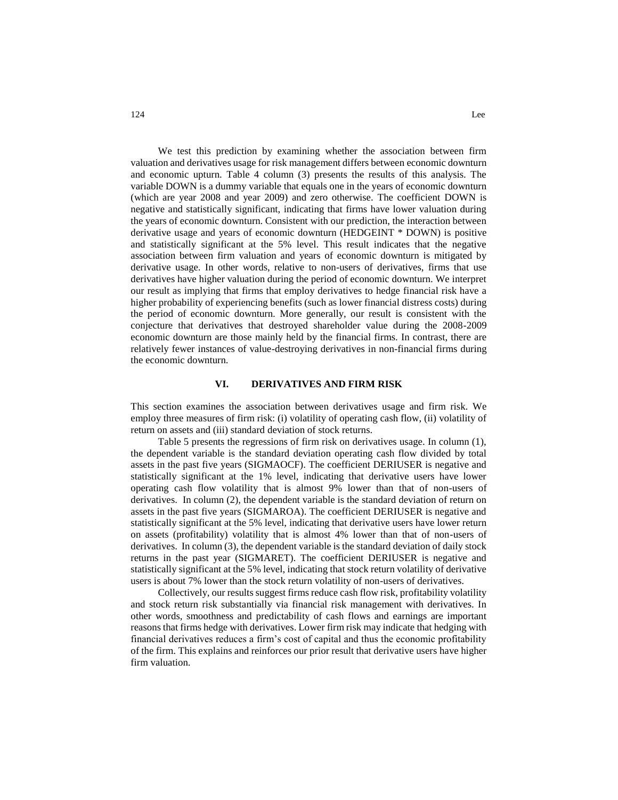We test this prediction by examining whether the association between firm valuation and derivatives usage for risk management differs between economic downturn and economic upturn. Table 4 column (3) presents the results of this analysis. The variable DOWN is a dummy variable that equals one in the years of economic downturn (which are year 2008 and year 2009) and zero otherwise. The coefficient DOWN is negative and statistically significant, indicating that firms have lower valuation during the years of economic downturn. Consistent with our prediction, the interaction between derivative usage and years of economic downturn (HEDGEINT \* DOWN) is positive and statistically significant at the 5% level. This result indicates that the negative association between firm valuation and years of economic downturn is mitigated by derivative usage. In other words, relative to non-users of derivatives, firms that use derivatives have higher valuation during the period of economic downturn. We interpret our result as implying that firms that employ derivatives to hedge financial risk have a higher probability of experiencing benefits (such as lower financial distress costs) during the period of economic downturn. More generally, our result is consistent with the conjecture that derivatives that destroyed shareholder value during the 2008-2009 economic downturn are those mainly held by the financial firms. In contrast, there are relatively fewer instances of value-destroying derivatives in non-financial firms during the economic downturn.

## **VI. DERIVATIVES AND FIRM RISK**

This section examines the association between derivatives usage and firm risk. We employ three measures of firm risk: (i) volatility of operating cash flow, (ii) volatility of return on assets and (iii) standard deviation of stock returns.

Table 5 presents the regressions of firm risk on derivatives usage. In column (1), the dependent variable is the standard deviation operating cash flow divided by total assets in the past five years (SIGMAOCF). The coefficient DERIUSER is negative and statistically significant at the 1% level, indicating that derivative users have lower operating cash flow volatility that is almost 9% lower than that of non-users of derivatives. In column (2), the dependent variable is the standard deviation of return on assets in the past five years (SIGMAROA). The coefficient DERIUSER is negative and statistically significant at the 5% level, indicating that derivative users have lower return on assets (profitability) volatility that is almost 4% lower than that of non-users of derivatives. In column (3), the dependent variable is the standard deviation of daily stock returns in the past year (SIGMARET). The coefficient DERIUSER is negative and statistically significant at the 5% level, indicating that stock return volatility of derivative users is about 7% lower than the stock return volatility of non-users of derivatives.

Collectively, our results suggest firms reduce cash flow risk, profitability volatility and stock return risk substantially via financial risk management with derivatives. In other words, smoothness and predictability of cash flows and earnings are important reasons that firms hedge with derivatives. Lower firm risk may indicate that hedging with financial derivatives reduces a firm's cost of capital and thus the economic profitability of the firm. This explains and reinforces our prior result that derivative users have higher firm valuation.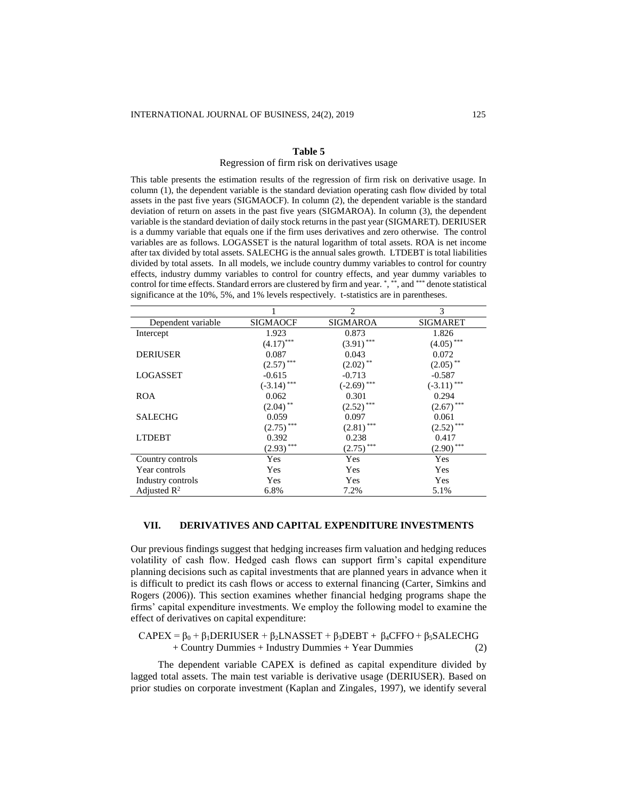#### **Table 5**

#### Regression of firm risk on derivatives usage

This table presents the estimation results of the regression of firm risk on derivative usage. In column (1), the dependent variable is the standard deviation operating cash flow divided by total assets in the past five years (SIGMAOCF). In column (2), the dependent variable is the standard deviation of return on assets in the past five years (SIGMAROA). In column (3), the dependent variable is the standard deviation of daily stock returns in the past year (SIGMARET). DERIUSER is a dummy variable that equals one if the firm uses derivatives and zero otherwise. The control variables are as follows. LOGASSET is the natural logarithm of total assets. ROA is net income after tax divided by total assets. SALECHG is the annual sales growth. LTDEBT is total liabilities divided by total assets. In all models, we include country dummy variables to control for country effects, industry dummy variables to control for country effects, and year dummy variables to control for time effects. Standard errors are clustered by firm and year. \* , \*\*, and \*\*\* denote statistical significance at the 10%, 5%, and 1% levels respectively. t-statistics are in parentheses.

|                         |                 | 2                      | 3               |
|-------------------------|-----------------|------------------------|-----------------|
| Dependent variable      | <b>SIGMAOCF</b> | <b>SIGMAROA</b>        | <b>SIGMARET</b> |
| Intercept               | 1.923           | 0.873                  | 1.826           |
|                         | $(4.17)$ ***    | $(3.91)$ ***           | $(4.05)$ ***    |
| <b>DERIUSER</b>         | 0.087           | 0.043                  | 0.072           |
|                         | $(2.57)$ ***    | $(2.02)$ <sup>**</sup> | $(2.05)$ **     |
| <b>LOGASSET</b>         | $-0.615$        | $-0.713$               | $-0.587$        |
|                         | $(-3.14)$ ***   | $(-2.69)$ ***          | $(-3.11)$ ***   |
| ROA                     | 0.062           | 0.301                  | 0.294           |
|                         | $(2.04)$ **     | $(2.52)$ ***           | $(2.67)$ ***    |
| <b>SALECHG</b>          | 0.059           | 0.097                  | 0.061           |
|                         | $(2.75)$ ***    | $(2.81)$ ***           | $(2.52)$ ***    |
| <b>LTDEBT</b>           | 0.392           | 0.238                  | 0.417           |
|                         | $(2.93)$ ***    | $(2.75)$ ***           | $(2.90)$ ***    |
| Country controls        | Yes             | Yes                    | Yes             |
| Year controls           | Yes             | Yes                    | Yes             |
| Industry controls       | Yes             | Yes                    | Yes             |
| Adjusted $\mathbb{R}^2$ | 6.8%            | 7.2%                   | 5.1%            |

#### **VII. DERIVATIVES AND CAPITAL EXPENDITURE INVESTMENTS**

Our previous findings suggest that hedging increases firm valuation and hedging reduces volatility of cash flow. Hedged cash flows can support firm's capital expenditure planning decisions such as capital investments that are planned years in advance when it is difficult to predict its cash flows or access to external financing (Carter, Simkins and Rogers (2006)). This section examines whether financial hedging programs shape the firms' capital expenditure investments. We employ the following model to examine the effect of derivatives on capital expenditure:

 $CAPEX = \beta_0 + \beta_1 DERIUSER + \beta_2LNASSET + \beta_3DEBT + \beta_4CFFO + \beta_5 SALECHG$ + Country Dummies + Industry Dummies + Year Dummies (2)

The dependent variable CAPEX is defined as capital expenditure divided by lagged total assets. The main test variable is derivative usage (DERIUSER). Based on prior studies on corporate investment (Kaplan and Zingales, 1997), we identify several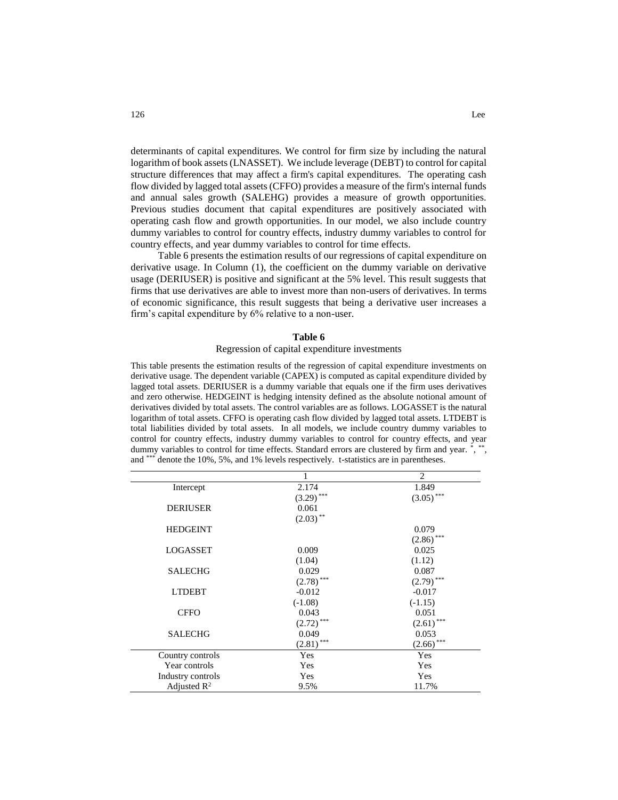determinants of capital expenditures. We control for firm size by including the natural logarithm of book assets (LNASSET). We include leverage (DEBT) to control for capital structure differences that may affect a firm's capital expenditures. The operating cash flow divided by lagged total assets (CFFO) provides a measure of the firm's internal funds and annual sales growth (SALEHG) provides a measure of growth opportunities. Previous studies document that capital expenditures are positively associated with operating cash flow and growth opportunities. In our model, we also include country dummy variables to control for country effects, industry dummy variables to control for country effects, and year dummy variables to control for time effects.

Table 6 presents the estimation results of our regressions of capital expenditure on derivative usage. In Column (1), the coefficient on the dummy variable on derivative usage (DERIUSER) is positive and significant at the 5% level. This result suggests that firms that use derivatives are able to invest more than non-users of derivatives. In terms of economic significance, this result suggests that being a derivative user increases a firm's capital expenditure by 6% relative to a non-user.

#### **Table 6**

## Regression of capital expenditure investments

This table presents the estimation results of the regression of capital expenditure investments on derivative usage. The dependent variable (CAPEX) is computed as capital expenditure divided by lagged total assets. DERIUSER is a dummy variable that equals one if the firm uses derivatives and zero otherwise. HEDGEINT is hedging intensity defined as the absolute notional amount of derivatives divided by total assets. The control variables are as follows. LOGASSET is the natural logarithm of total assets. CFFO is operating cash flow divided by lagged total assets. LTDEBT is total liabilities divided by total assets. In all models, we include country dummy variables to control for country effects, industry dummy variables to control for country effects, and year dummy variables to control for time effects. Standard errors are clustered by firm and year. \*, \*\*, and \*\*\* denote the 10%, 5%, and 1% levels respectively. t-statistics are in parentheses.

|                         |              | $\overline{2}$ |
|-------------------------|--------------|----------------|
| Intercept               | 2.174        | 1.849          |
|                         | $(3.29)$ *** | $(3.05)$ ***   |
| <b>DERIUSER</b>         | 0.061        |                |
|                         | $(2.03)$ **  |                |
| <b>HEDGEINT</b>         |              | 0.079          |
|                         |              | $(2.86)$ ***   |
| LOGASSET                | 0.009        | 0.025          |
|                         | (1.04)       | (1.12)         |
| <b>SALECHG</b>          | 0.029        | 0.087          |
|                         | $(2.78)$ *** | $(2.79)$ ***   |
| <b>LTDEBT</b>           | $-0.012$     | $-0.017$       |
|                         | $(-1.08)$    | $(-1.15)$      |
| <b>CFFO</b>             | 0.043        | 0.051          |
|                         | $(2.72)$ *** | $(2.61)$ ***   |
| <b>SALECHG</b>          | 0.049        | 0.053          |
|                         | $(2.81)$ *** | $(2.66)$ ***   |
| Country controls        | Yes          | Yes            |
| Year controls           | Yes          | Yes            |
| Industry controls       | Yes          | Yes            |
| Adjusted $\mathbb{R}^2$ | 9.5%         | 11.7%          |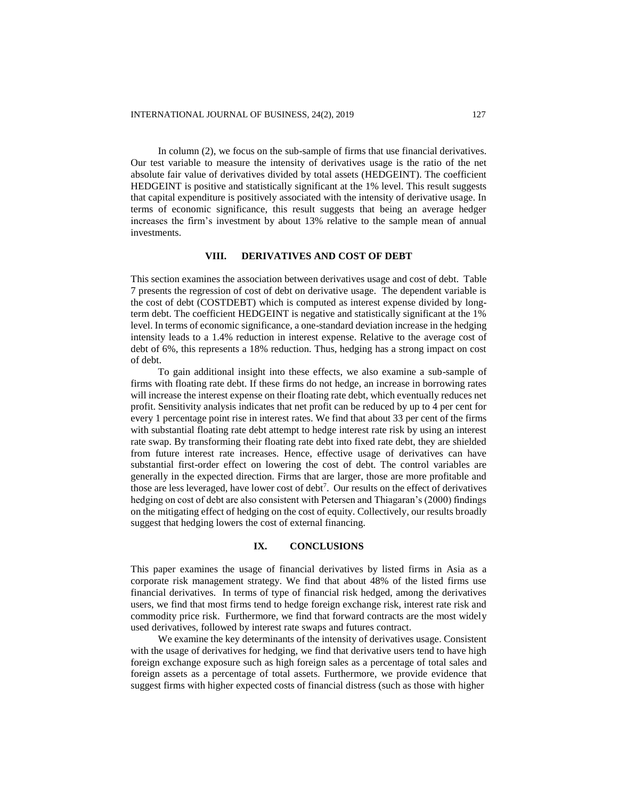In column (2), we focus on the sub-sample of firms that use financial derivatives. Our test variable to measure the intensity of derivatives usage is the ratio of the net absolute fair value of derivatives divided by total assets (HEDGEINT). The coefficient HEDGEINT is positive and statistically significant at the 1% level. This result suggests that capital expenditure is positively associated with the intensity of derivative usage. In terms of economic significance, this result suggests that being an average hedger increases the firm's investment by about 13% relative to the sample mean of annual investments.

## **VIII. DERIVATIVES AND COST OF DEBT**

This section examines the association between derivatives usage and cost of debt. Table 7 presents the regression of cost of debt on derivative usage. The dependent variable is the cost of debt (COSTDEBT) which is computed as interest expense divided by longterm debt. The coefficient HEDGEINT is negative and statistically significant at the 1% level. In terms of economic significance, a one-standard deviation increase in the hedging intensity leads to a 1.4% reduction in interest expense. Relative to the average cost of debt of 6%, this represents a 18% reduction. Thus, hedging has a strong impact on cost of debt.

To gain additional insight into these effects, we also examine a sub-sample of firms with floating rate debt. If these firms do not hedge, an increase in borrowing rates will increase the interest expense on their floating rate debt, which eventually reduces net profit. Sensitivity analysis indicates that net profit can be reduced by up to 4 per cent for every 1 percentage point rise in interest rates. We find that about 33 per cent of the firms with substantial floating rate debt attempt to hedge interest rate risk by using an interest rate swap. By transforming their floating rate debt into fixed rate debt, they are shielded from future interest rate increases. Hence, effective usage of derivatives can have substantial first-order effect on lowering the cost of debt. The control variables are generally in the expected direction. Firms that are larger, those are more profitable and those are less leveraged, have lower cost of  $debt^7$ . Our results on the effect of derivatives hedging on cost of debt are also consistent with Petersen and Thiagaran's (2000) findings on the mitigating effect of hedging on the cost of equity. Collectively, our results broadly suggest that hedging lowers the cost of external financing.

#### **IX. CONCLUSIONS**

This paper examines the usage of financial derivatives by listed firms in Asia as a corporate risk management strategy. We find that about 48% of the listed firms use financial derivatives. In terms of type of financial risk hedged, among the derivatives users, we find that most firms tend to hedge foreign exchange risk, interest rate risk and commodity price risk. Furthermore, we find that forward contracts are the most widely used derivatives, followed by interest rate swaps and futures contract.

We examine the key determinants of the intensity of derivatives usage. Consistent with the usage of derivatives for hedging, we find that derivative users tend to have high foreign exchange exposure such as high foreign sales as a percentage of total sales and foreign assets as a percentage of total assets. Furthermore, we provide evidence that suggest firms with higher expected costs of financial distress (such as those with higher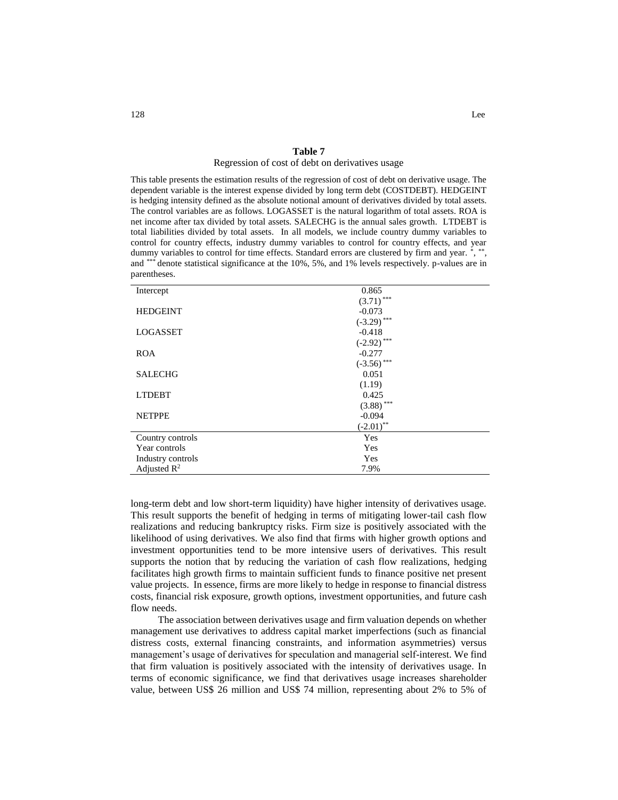#### Regression of cost of debt on derivatives usage

This table presents the estimation results of the regression of cost of debt on derivative usage. The dependent variable is the interest expense divided by long term debt (COSTDEBT). HEDGEINT is hedging intensity defined as the absolute notional amount of derivatives divided by total assets. The control variables are as follows. LOGASSET is the natural logarithm of total assets. ROA is net income after tax divided by total assets. SALECHG is the annual sales growth. LTDEBT is total liabilities divided by total assets. In all models, we include country dummy variables to control for country effects, industry dummy variables to control for country effects, and year dummy variables to control for time effects. Standard errors are clustered by firm and year. \*, \*\*, and \*\*\* denote statistical significance at the 10%, 5%, and 1% levels respectively. p-values are in parentheses.

| Intercept               | 0.865         |
|-------------------------|---------------|
|                         | $(3.71)$ ***  |
| <b>HEDGEINT</b>         | $-0.073$      |
|                         | $(-3.29)$ *** |
| LOGASSET                | $-0.418$      |
|                         | $(-2.92)$ *** |
| <b>ROA</b>              | $-0.277$      |
|                         | $(-3.56)$ *** |
| <b>SALECHG</b>          | 0.051         |
|                         | (1.19)        |
| <b>LTDEBT</b>           | 0.425         |
|                         | $(3.88)$ ***  |
| <b>NETPPE</b>           | $-0.094$      |
|                         | $(-2.01)$ **  |
| Country controls        | Yes           |
| Year controls           | Yes           |
| Industry controls       | Yes           |
| Adjusted $\mathbb{R}^2$ | 7.9%          |

long-term debt and low short-term liquidity) have higher intensity of derivatives usage. This result supports the benefit of hedging in terms of mitigating lower-tail cash flow realizations and reducing bankruptcy risks. Firm size is positively associated with the likelihood of using derivatives. We also find that firms with higher growth options and investment opportunities tend to be more intensive users of derivatives. This result supports the notion that by reducing the variation of cash flow realizations, hedging facilitates high growth firms to maintain sufficient funds to finance positive net present value projects. In essence, firms are more likely to hedge in response to financial distress costs, financial risk exposure, growth options, investment opportunities, and future cash flow needs.

The association between derivatives usage and firm valuation depends on whether management use derivatives to address capital market imperfections (such as financial distress costs, external financing constraints, and information asymmetries) versus management's usage of derivatives for speculation and managerial self-interest. We find that firm valuation is positively associated with the intensity of derivatives usage. In terms of economic significance, we find that derivatives usage increases shareholder value, between US\$ 26 million and US\$ 74 million, representing about 2% to 5% of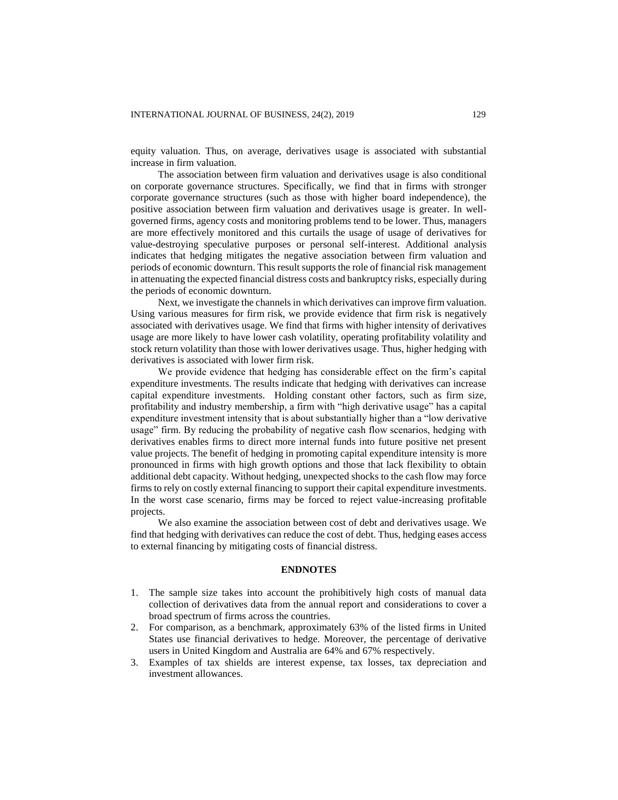equity valuation. Thus, on average, derivatives usage is associated with substantial increase in firm valuation.

The association between firm valuation and derivatives usage is also conditional on corporate governance structures. Specifically, we find that in firms with stronger corporate governance structures (such as those with higher board independence), the positive association between firm valuation and derivatives usage is greater. In wellgoverned firms, agency costs and monitoring problems tend to be lower. Thus, managers are more effectively monitored and this curtails the usage of usage of derivatives for value-destroying speculative purposes or personal self-interest. Additional analysis indicates that hedging mitigates the negative association between firm valuation and periods of economic downturn. This result supports the role of financial risk management in attenuating the expected financial distress costs and bankruptcy risks, especially during the periods of economic downturn.

Next, we investigate the channels in which derivatives can improve firm valuation. Using various measures for firm risk, we provide evidence that firm risk is negatively associated with derivatives usage. We find that firms with higher intensity of derivatives usage are more likely to have lower cash volatility, operating profitability volatility and stock return volatility than those with lower derivatives usage. Thus, higher hedging with derivatives is associated with lower firm risk.

We provide evidence that hedging has considerable effect on the firm's capital expenditure investments. The results indicate that hedging with derivatives can increase capital expenditure investments. Holding constant other factors, such as firm size, profitability and industry membership, a firm with "high derivative usage" has a capital expenditure investment intensity that is about substantially higher than a "low derivative usage" firm. By reducing the probability of negative cash flow scenarios, hedging with derivatives enables firms to direct more internal funds into future positive net present value projects. The benefit of hedging in promoting capital expenditure intensity is more pronounced in firms with high growth options and those that lack flexibility to obtain additional debt capacity. Without hedging, unexpected shocks to the cash flow may force firms to rely on costly external financing to support their capital expenditure investments. In the worst case scenario, firms may be forced to reject value-increasing profitable projects.

We also examine the association between cost of debt and derivatives usage. We find that hedging with derivatives can reduce the cost of debt. Thus, hedging eases access to external financing by mitigating costs of financial distress.

## **ENDNOTES**

- 1. The sample size takes into account the prohibitively high costs of manual data collection of derivatives data from the annual report and considerations to cover a broad spectrum of firms across the countries.
- 2. For comparison, as a benchmark, approximately 63% of the listed firms in United States use financial derivatives to hedge. Moreover, the percentage of derivative users in United Kingdom and Australia are 64% and 67% respectively.
- 3. Examples of tax shields are interest expense, tax losses, tax depreciation and investment allowances.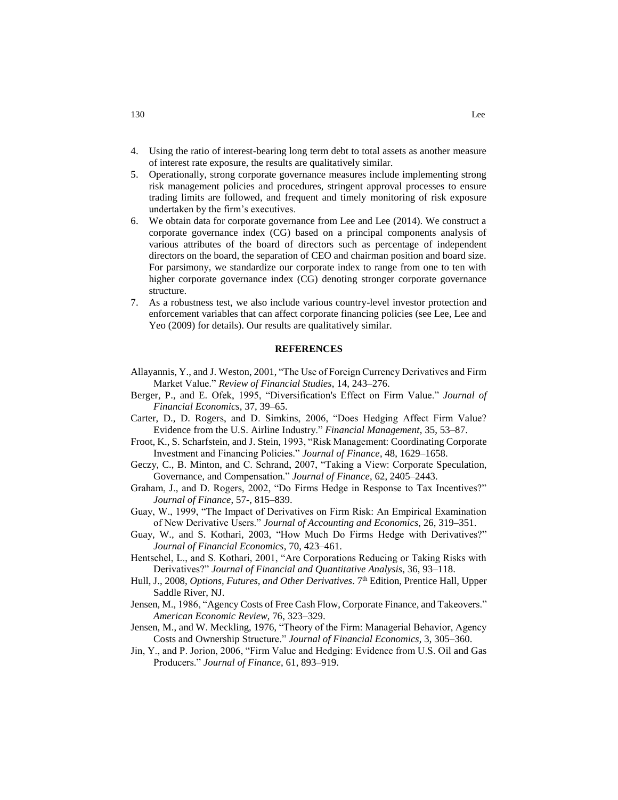- 4. Using the ratio of interest-bearing long term debt to total assets as another measure of interest rate exposure, the results are qualitatively similar.
- 5. Operationally, strong corporate governance measures include implementing strong risk management policies and procedures, stringent approval processes to ensure trading limits are followed, and frequent and timely monitoring of risk exposure undertaken by the firm's executives.
- 6. We obtain data for corporate governance from Lee and Lee (2014). We construct a corporate governance index (CG) based on a principal components analysis of various attributes of the board of directors such as percentage of independent directors on the board, the separation of CEO and chairman position and board size. For parsimony, we standardize our corporate index to range from one to ten with higher corporate governance index (CG) denoting stronger corporate governance structure.
- 7. As a robustness test, we also include various country-level investor protection and enforcement variables that can affect corporate financing policies (see Lee, Lee and Yeo (2009) for details). Our results are qualitatively similar.

#### **REFERENCES**

- Allayannis, Y., and J. Weston, 2001, "The Use of Foreign Currency Derivatives and Firm Market Value." *Review of Financial Studies*, 14, 243–276.
- Berger, P., and E. Ofek, 1995, "Diversification's Effect on Firm Value." *Journal of Financial Economics*, 37, 39–65.
- Carter, D., D. Rogers, and D. Simkins, 2006, "Does Hedging Affect Firm Value? Evidence from the U.S. Airline Industry." *Financial Management*, 35, 53–87.
- Froot, K., S. Scharfstein, and J. Stein, 1993, "Risk Management: Coordinating Corporate Investment and Financing Policies." *Journal of Finance*, 48, 1629–1658.
- Geczy, C., B. Minton, and C. Schrand, 2007, "Taking a View: Corporate Speculation, Governance, and Compensation." *Journal of Finance*, 62, 2405–2443.
- Graham, J., and D. Rogers, 2002, "Do Firms Hedge in Response to Tax Incentives?" *Journal of Finance*, 57-, 815–839.
- Guay, W., 1999, "The Impact of Derivatives on Firm Risk: An Empirical Examination of New Derivative Users." *Journal of Accounting and Economics*, 26, 319–351.
- Guay, W., and S. Kothari, 2003, "How Much Do Firms Hedge with Derivatives?" *Journal of Financial Economics*, 70, 423–461.
- Hentschel, L., and S. Kothari, 2001, "Are Corporations Reducing or Taking Risks with Derivatives?" *Journal of Financial and Quantitative Analysis*, 36, 93–118.
- Hull, J., 2008, *Options, Futures, and Other Derivatives*. 7th Edition, Prentice Hall, Upper Saddle River, NJ.
- Jensen, M., 1986, "Agency Costs of Free Cash Flow, Corporate Finance, and Takeovers." *American Economic Review*, 76, 323–329.
- Jensen, M., and W. Meckling, 1976, "Theory of the Firm: Managerial Behavior, Agency Costs and Ownership Structure." *Journal of Financial Economics*, 3, 305–360.
- Jin, Y., and P. Jorion, 2006, "Firm Value and Hedging: Evidence from U.S. Oil and Gas Producers." *Journal of Finance*, 61, 893–919.